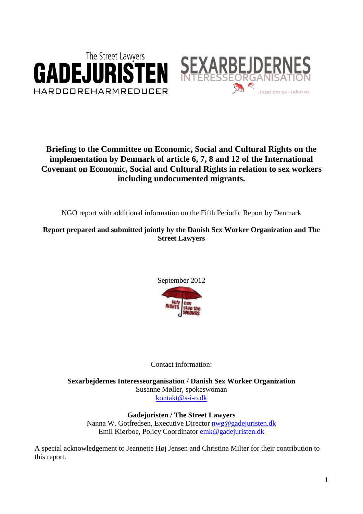



# **Briefing to the Committee on Economic, Social and Cultural Rights on the implementation by Denmark of article 6, 7, 8 and 12 of the International Covenant on Economic, Social and Cultural Rights in relation to sex workers including undocumented migrants.**

NGO report with additional information on the Fifth Periodic Report by Denmark

**Report prepared and submitted jointly by the Danish Sex Worker Organization and The Street Lawyers**



## Contact information:

**Sexarbejdernes Interesseorganisation / Danish Sex Worker Organization** Susanne Møller, spokeswoman [kontakt@s-i-o.dk](mailto:kontakt@s-i-o.dk)

**Gadejuristen / The Street Lawyers** Nanna W. Gotfredsen, Executive Director [nwg@gadejuristen.dk](mailto:nwg@gadejuristen.dk) Emil Kiørboe, Policy Coordinator [emk@gadejuristen.dk](mailto:emk@gadejuristen.dk)

A special acknowledgement to Jeannette Høj Jensen and Christina Milter for their contribution to this report.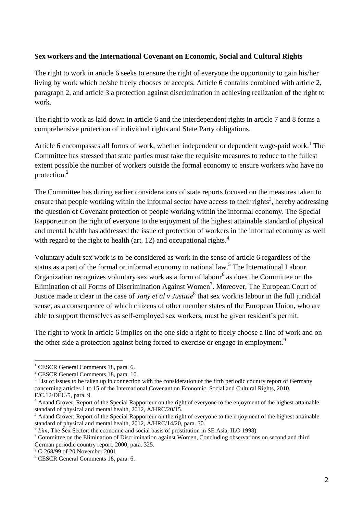#### **Sex workers and the International Covenant on Economic, Social and Cultural Rights**

The right to work in article 6 seeks to ensure the right of everyone the opportunity to gain his/her living by work which he/she freely chooses or accepts. Article 6 contains combined with article 2, paragraph 2, and article 3 a protection against discrimination in achieving realization of the right to work.

The right to work as laid down in article 6 and the interdependent rights in article 7 and 8 forms a comprehensive protection of individual rights and State Party obligations.

Article 6 encompasses all forms of work, whether independent or dependent wage-paid work.<sup>1</sup> The Committee has stressed that state parties must take the requisite measures to reduce to the fullest extent possible the number of workers outside the formal economy to ensure workers who have no protection.<sup>2</sup>

The Committee has during earlier considerations of state reports focused on the measures taken to ensure that people working within the informal sector have access to their rights<sup>3</sup>, hereby addressing the question of Covenant protection of people working within the informal economy. The Special Rapporteur on the right of everyone to the enjoyment of the highest attainable standard of physical and mental health has addressed the issue of protection of workers in the informal economy as well with regard to the right to health (art. 12) and occupational rights. $<sup>4</sup>$ </sup>

Voluntary adult sex work is to be considered as work in the sense of article 6 regardless of the status as a part of the formal or informal economy in national law.<sup>5</sup> The International Labour Organization recognizes voluntary sex work as a form of labour<sup>6</sup> as does the Committee on the Elimination of all Forms of Discrimination Against Women<sup>7</sup>. Moreover, The European Court of Justice made it clear in the case of *Jany et al v Justitie*<sup>8</sup> that sex work is labour in the full juridical sense, as a consequence of which citizens of other member states of the European Union, who are able to support themselves as self-employed sex workers, must be given resident's permit.

The right to work in article 6 implies on the one side a right to freely choose a line of work and on the other side a protection against being forced to exercise or engage in employment.<sup>9</sup>

 $\overline{a}$ 

<sup>&</sup>lt;sup>1</sup> CESCR General Comments 18, para. 6.

<sup>2</sup> CESCR General Comments 18, para. 10.

 $3$  List of issues to be taken up in connection with the consideration of the fifth periodic country report of Germany concerning articles 1 to 15 of the International Covenant on Economic, Social and Cultural Rights, 2010, E/C.12/DEU/5, para. 9.

<sup>&</sup>lt;sup>4</sup> Anand Grover, Report of the Special Rapporteur on the right of everyone to the enjoyment of the highest attainable standard of physical and mental health, 2012, A/HRC/20/15.

<sup>&</sup>lt;sup>5</sup> Anand Grover, Report of the Special Rapporteur on the right of everyone to the enjoyment of the highest attainable standard of physical and mental health, 2012, A/HRC/14/20, para. 30.

<sup>&</sup>lt;sup>6</sup> Lim, The Sex Sector: the economic and social basis of prostitution in SE Asia, ILO 1998).

<sup>&</sup>lt;sup>7</sup> Committee on the Elimination of Discrimination against Women, Concluding observations on second and third German periodic country report, 2000, para. 325.

<sup>8</sup> C-268/99 of 20 November 2001.

<sup>9</sup> CESCR General Comments 18, para. 6.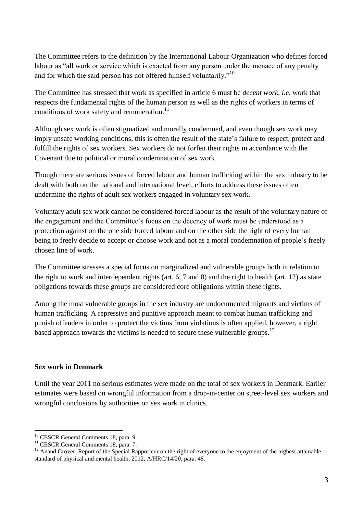The Committee refers to the definition by the International Labour Organization who defines forced labour as "all work or service which is exacted from any person under the menace of any penalty and for which the said person has not offered himself voluntarily."<sup>10</sup>

The Committee has stressed that work as specified in article 6 must be *decent work, i.e.* work that respects the fundamental rights of the human person as well as the rights of workers in terms of conditions of work safety and remuneration.<sup>11</sup>

Although sex work is often stigmatized and morally condemned, and even though sex work may imply unsafe working conditions, this is often the result of the state's failure to respect, protect and fulfill the rights of sex workers. Sex workers do not forfeit their rights in accordance with the Covenant due to political or moral condemnation of sex work.

Though there are serious issues of forced labour and human trafficking within the sex industry to be dealt with both on the national and international level, efforts to address these issues often undermine the rights of adult sex workers engaged in voluntary sex work.

Voluntary adult sex work cannot be considered forced labour as the result of the voluntary nature of the engagement and the Committee's focus on the decency of work must be understood as a protection against on the one side forced labour and on the other side the right of every human being to freely decide to accept or choose work and not as a moral condemnation of people's freely chosen line of work.

The Committee stresses a special focus on marginalized and vulnerable groups both in relation to the right to work and interdependent rights (art. 6, 7 and 8) and the right to health (art. 12) as state obligations towards these groups are considered core obligations within these rights.

Among the most vulnerable groups in the sex industry are undocumented migrants and victims of human trafficking. A repressive and punitive approach meant to combat human trafficking and punish offenders in order to protect the victims from violations is often applied, however, a right based approach towards the victims is needed to secure these vulnerable groups.<sup>12</sup>

#### **Sex work in Denmark**

 $\overline{a}$ 

Until the year 2011 no serious estimates were made on the total of sex workers in Denmark. Earlier estimates were based on wrongful information from a drop-in-center on street-level sex workers and wrongful conclusions by authorities on sex work in clinics.

<sup>&</sup>lt;sup>10</sup> CESCR General Comments 18, para. 9.

<sup>&</sup>lt;sup>11</sup> CESCR General Comments 18, para. 7.

 $12$  Anand Grover, Report of the Special Rapporteur on the right of everyone to the enjoyment of the highest attainable standard of physical and mental health, 2012, A/HRC/14/20, para. 48.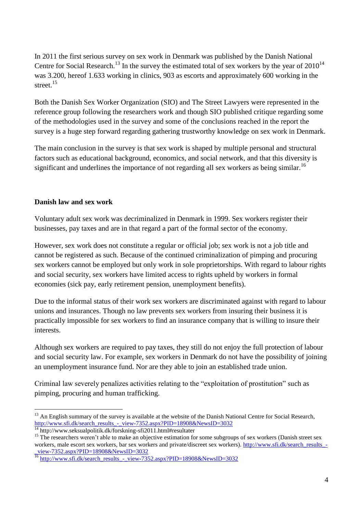In 2011 the first serious survey on sex work in Denmark was published by the Danish National Centre for Social Research.<sup>13</sup> In the survey the estimated total of sex workers by the year of  $2010^{14}$ was 3.200, hereof 1.633 working in clinics, 903 as escorts and approximately 600 working in the street.<sup>15</sup>

Both the Danish Sex Worker Organization (SIO) and The Street Lawyers were represented in the reference group following the researchers work and though SIO published critique regarding some of the methodologies used in the survey and some of the conclusions reached in the report the survey is a huge step forward regarding gathering trustworthy knowledge on sex work in Denmark.

The main conclusion in the survey is that sex work is shaped by multiple personal and structural factors such as educational background, economics, and social network, and that this diversity is significant and underlines the importance of not regarding all sex workers as being similar.<sup>16</sup>

#### **Danish law and sex work**

Voluntary adult sex work was decriminalized in Denmark in 1999. Sex workers register their businesses, pay taxes and are in that regard a part of the formal sector of the economy.

However, sex work does not constitute a regular or official job; sex work is not a job title and cannot be registered as such. Because of the continued criminalization of pimping and procuring sex workers cannot be employed but only work in sole proprietorships. With regard to labour rights and social security, sex workers have limited access to rights upheld by workers in formal economies (sick pay, early retirement pension, unemployment benefits).

Due to the informal status of their work sex workers are discriminated against with regard to labour unions and insurances. Though no law prevents sex workers from insuring their business it is practically impossible for sex workers to find an insurance company that is willing to insure their interests.

Although sex workers are required to pay taxes, they still do not enjoy the full protection of labour and social security law. For example, sex workers in Denmark do not have the possibility of joining an unemployment insurance fund. Nor are they able to join an established trade union.

Criminal law severely penalizes activities relating to the "exploitation of prostitution" such as pimping, procuring and human trafficking.

 $\overline{a}$  $<sup>13</sup>$  An English summary of the survey is available at the website of the Danish National Centre for Social Research,</sup> [http://www.sfi.dk/search\\_results\\_-\\_view-7352.aspx?PID=18908&NewsID=3032](http://www.sfi.dk/search_results_-_view-7352.aspx?PID=18908&NewsID=3032)

<sup>14</sup> http://www.seksualpolitik.dk/forskning-sfi2011.html#resultater

<sup>&</sup>lt;sup>15</sup> The researchers weren't able to make an objective estimation for some subgroups of sex workers (Danish street sex workers, male escort sex workers, bar sex workers and private/discreet sex workers). [http://www.sfi.dk/search\\_results\\_-](http://www.sfi.dk/search_results_-_view-7352.aspx?PID=18908&NewsID=3032) [\\_view-7352.aspx?PID=18908&NewsID=3032](http://www.sfi.dk/search_results_-_view-7352.aspx?PID=18908&NewsID=3032)

<sup>&</sup>lt;sup>16</sup> [http://www.sfi.dk/search\\_results\\_-\\_view-7352.aspx?PID=18908&NewsID=3032](http://www.sfi.dk/search_results_-_view-7352.aspx?PID=18908&NewsID=3032)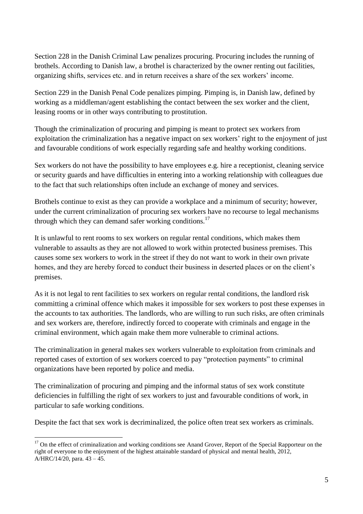Section 228 in the Danish Criminal Law penalizes procuring. Procuring includes the running of brothels. According to Danish law, a brothel is characterized by the owner renting out facilities, organizing shifts, services etc. and in return receives a share of the sex workers' income.

Section 229 in the Danish Penal Code penalizes pimping. Pimping is, in Danish law, defined by working as a middleman/agent establishing the contact between the sex worker and the client, leasing rooms or in other ways contributing to prostitution.

Though the criminalization of procuring and pimping is meant to protect sex workers from exploitation the criminalization has a negative impact on sex workers' right to the enjoyment of just and favourable conditions of work especially regarding safe and healthy working conditions.

Sex workers do not have the possibility to have employees e.g. hire a receptionist, cleaning service or security guards and have difficulties in entering into a working relationship with colleagues due to the fact that such relationships often include an exchange of money and services.

Brothels continue to exist as they can provide a workplace and a minimum of security; however, under the current criminalization of procuring sex workers have no recourse to legal mechanisms through which they can demand safer working conditions.<sup>17</sup>

It is unlawful to rent rooms to sex workers on regular rental conditions, which makes them vulnerable to assaults as they are not allowed to work within protected business premises. This causes some sex workers to work in the street if they do not want to work in their own private homes, and they are hereby forced to conduct their business in deserted places or on the client's premises.

As it is not legal to rent facilities to sex workers on regular rental conditions, the landlord risk committing a criminal offence which makes it impossible for sex workers to post these expenses in the accounts to tax authorities. The landlords, who are willing to run such risks, are often criminals and sex workers are, therefore, indirectly forced to cooperate with criminals and engage in the criminal environment, which again make them more vulnerable to criminal actions.

The criminalization in general makes sex workers vulnerable to exploitation from criminals and reported cases of extortion of sex workers coerced to pay "protection payments" to criminal organizations have been reported by police and media.

The criminalization of procuring and pimping and the informal status of sex work constitute deficiencies in fulfilling the right of sex workers to just and favourable conditions of work, in particular to safe working conditions.

Despite the fact that sex work is decriminalized, the police often treat sex workers as criminals.

 $\overline{a}$ 

<sup>&</sup>lt;sup>17</sup> On the effect of criminalization and working conditions see Anand Grover, Report of the Special Rapporteur on the right of everyone to the enjoyment of the highest attainable standard of physical and mental health, 2012, A/HRC/14/20, para. 43 – 45.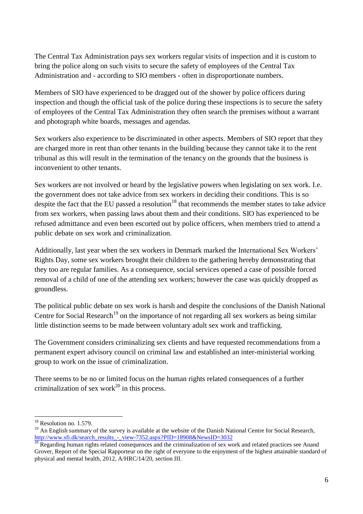The Central Tax Administration pays sex workers regular visits of inspection and it is custom to bring the police along on such visits to secure the safety of employees of the Central Tax Administration and - according to SIO members - often in disproportionate numbers.

Members of SIO have experienced to be dragged out of the shower by police officers during inspection and though the official task of the police during these inspections is to secure the safety of employees of the Central Tax Administration they often search the premises without a warrant and photograph white boards, messages and agendas.

Sex workers also experience to be discriminated in other aspects. Members of SIO report that they are charged more in rent than other tenants in the building because they cannot take it to the rent tribunal as this will result in the termination of the tenancy on the grounds that the business is inconvenient to other tenants.

Sex workers are not involved or heard by the legislative powers when legislating on sex work. I.e. the government does not take advice from sex workers in deciding their conditions. This is so despite the fact that the EU passed a resolution<sup>18</sup> that recommends the member states to take advice from sex workers, when passing laws about them and their conditions. SIO has experienced to be refused admittance and even been escorted out by police officers, when members tried to attend a public debate on sex work and criminalization.

Additionally, last year when the sex workers in Denmark marked the International Sex Workers' Rights Day, some sex workers brought their children to the gathering hereby demonstrating that they too are regular families. As a consequence, social services opened a case of possible forced removal of a child of one of the attending sex workers; however the case was quickly dropped as groundless.

The political public debate on sex work is harsh and despite the conclusions of the Danish National Centre for Social Research<sup>19</sup> on the importance of not regarding all sex workers as being similar little distinction seems to be made between voluntary adult sex work and trafficking.

The Government considers criminalizing sex clients and have requested recommendations from a permanent expert advisory council on criminal law and established an inter-ministerial working group to work on the issue of criminalization.

There seems to be no or limited focus on the human rights related consequences of a further criminalization of sex work<sup>20</sup> in this process.

<sup>&</sup>lt;sup>18</sup> Resolution no. 1.579.

<sup>&</sup>lt;sup>19</sup> An English summary of the survey is available at the website of the Danish National Centre for Social Research, [http://www.sfi.dk/search\\_results\\_-\\_view-7352.aspx?PID=18908&NewsID=3032](http://www.sfi.dk/search_results_-_view-7352.aspx?PID=18908&NewsID=3032)

 $^{20}$  Regarding human rights related consequences and the criminalization of sex work and related practices see Anand Grover, Report of the Special Rapporteur on the right of everyone to the enjoyment of the highest attainable standard of physical and mental health, 2012, A/HRC/14/20, section III.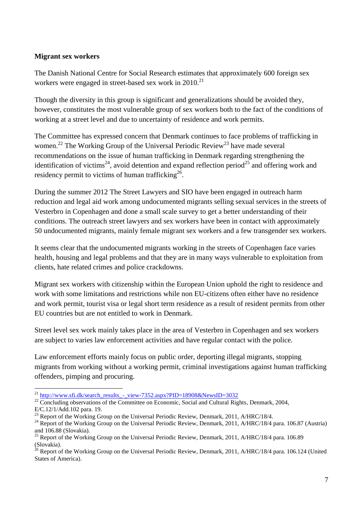#### **Migrant sex workers**

The Danish National Centre for Social Research estimates that approximately 600 foreign sex workers were engaged in street-based sex work in 2010.<sup>21</sup>

Though the diversity in this group is significant and generalizations should be avoided they, however, constitutes the most vulnerable group of sex workers both to the fact of the conditions of working at a street level and due to uncertainty of residence and work permits.

The Committee has expressed concern that Denmark continues to face problems of trafficking in women.<sup>22</sup> The Working Group of the Universal Periodic Review<sup>23</sup> have made several recommendations on the issue of human trafficking in Denmark regarding strengthening the identification of victims<sup>24</sup>, avoid detention and expand reflection period<sup>25</sup> and offering work and residency permit to victims of human trafficking $2^6$ .

During the summer 2012 The Street Lawyers and SIO have been engaged in outreach harm reduction and legal aid work among undocumented migrants selling sexual services in the streets of Vesterbro in Copenhagen and done a small scale survey to get a better understanding of their conditions. The outreach street lawyers and sex workers have been in contact with approximately 50 undocumented migrants, mainly female migrant sex workers and a few transgender sex workers.

It seems clear that the undocumented migrants working in the streets of Copenhagen face varies health, housing and legal problems and that they are in many ways vulnerable to exploitation from clients, hate related crimes and police crackdowns.

Migrant sex workers with citizenship within the European Union uphold the right to residence and work with some limitations and restrictions while non EU-citizens often either have no residence and work permit, tourist visa or legal short term residence as a result of resident permits from other EU countries but are not entitled to work in Denmark.

Street level sex work mainly takes place in the area of Vesterbro in Copenhagen and sex workers are subject to varies law enforcement activities and have regular contact with the police.

Law enforcement efforts mainly focus on public order, deporting illegal migrants, stopping migrants from working without a working permit, criminal investigations against human trafficking offenders, pimping and procuring.

 $\overline{a}$ <sup>21</sup> [http://www.sfi.dk/search\\_results\\_-\\_view-7352.aspx?PID=18908&NewsID=3032](http://www.sfi.dk/search_results_-_view-7352.aspx?PID=18908&NewsID=3032)

<sup>&</sup>lt;sup>22</sup> Concluding observations of the Committee on Economic, Social and Cultural Rights, Denmark, 2004, E/C.12/1/Add.102 para. 19.

<sup>&</sup>lt;sup>23</sup> Report of the Working Group on the Universal Periodic Review, Denmark, 2011, A/HRC/18/4.

 $^{24}$  Report of the Working Group on the Universal Periodic Review, Denmark, 2011, A/HRC/18/4 para. 106.87 (Austria) and 106.88 (Slovakia).

<sup>&</sup>lt;sup>25</sup> Report of the Working Group on the Universal Periodic Review, Denmark, 2011, A/HRC/18/4 para. 106.89 (Slovakia).

 $^{26}$  Report of the Working Group on the Universal Periodic Review, Denmark, 2011, A/HRC/18/4 para. 106.124 (United States of America).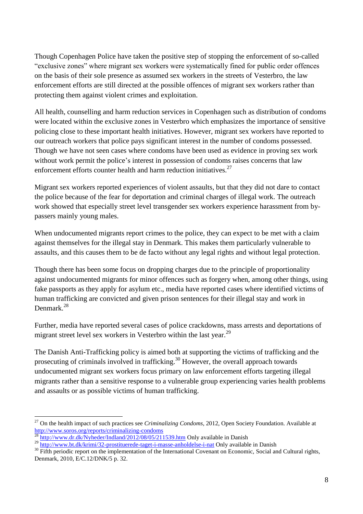Though Copenhagen Police have taken the positive step of stopping the enforcement of so-called "exclusive zones" where migrant sex workers were systematically fined for public order offences on the basis of their sole presence as assumed sex workers in the streets of Vesterbro, the law enforcement efforts are still directed at the possible offences of migrant sex workers rather than protecting them against violent crimes and exploitation.

All health, counselling and harm reduction services in Copenhagen such as distribution of condoms were located within the exclusive zones in Vesterbro which emphasizes the importance of sensitive policing close to these important health initiatives. However, migrant sex workers have reported to our outreach workers that police pays significant interest in the number of condoms possessed. Though we have not seen cases where condoms have been used as evidence in proving sex work without work permit the police's interest in possession of condoms raises concerns that law enforcement efforts counter health and harm reduction initiatives.<sup>27</sup>

Migrant sex workers reported experiences of violent assaults, but that they did not dare to contact the police because of the fear for deportation and criminal charges of illegal work. The outreach work showed that especially street level transgender sex workers experience harassment from bypassers mainly young males.

When undocumented migrants report crimes to the police, they can expect to be met with a claim against themselves for the illegal stay in Denmark. This makes them particularly vulnerable to assaults, and this causes them to be de facto without any legal rights and without legal protection.

Though there has been some focus on dropping charges due to the principle of proportionality against undocumented migrants for minor offences such as forgery when, among other things, using fake passports as they apply for asylum etc., media have reported cases where identified victims of human trafficking are convicted and given prison sentences for their illegal stay and work in Denmark.<sup>28</sup>

Further, media have reported several cases of police crackdowns, mass arrests and deportations of migrant street level sex workers in Vesterbro within the last year.<sup>29</sup>

The Danish Anti-Trafficking policy is aimed both at supporting the victims of trafficking and the prosecuting of criminals involved in trafficking.<sup>30</sup> However, the overall approach towards undocumented migrant sex workers focus primary on law enforcement efforts targeting illegal migrants rather than a sensitive response to a vulnerable group experiencing varies health problems and assaults or as possible victims of human trafficking.

<sup>&</sup>lt;sup>27</sup> On the health impact of such practices see *Criminalizing Condoms*, 2012, Open Society Foundation. Available at <http://www.soros.org/reports/criminalizing-condoms>

<sup>28</sup> <http://www.dr.dk/Nyheder/Indland/2012/08/05/211539.htm> Only available in Danish

<sup>&</sup>lt;sup>29</sup> <http://www.bt.dk/krimi/32-prostituerede-taget-i-masse-anholdelse-i-nat> Only available in Danish

<sup>&</sup>lt;sup>30</sup> Fifth periodic report on the implementation of the International Covenant on Economic, Social and Cultural rights, Denmark, 2010, E/C.12/DNK/5 p. 32.